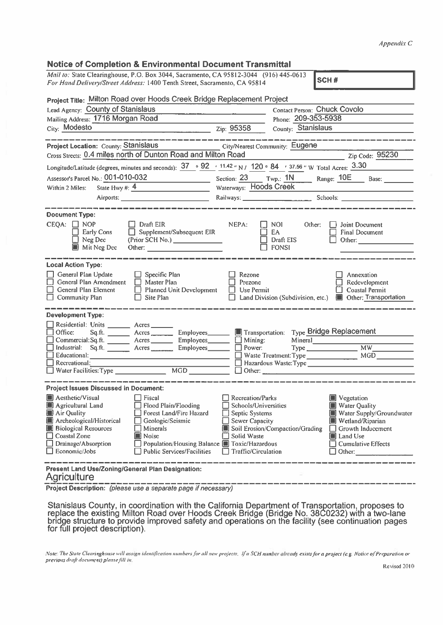## Appendix C

## Notice of Completion & Environmental Document Transmittal

|                                                                                                                                                                                                                                                                                                                                                                                                                                                                                                                                         |                                                                                                                                                  |                                                                           | Appendix C                                                                                                                                                                   |  |  |  |
|-----------------------------------------------------------------------------------------------------------------------------------------------------------------------------------------------------------------------------------------------------------------------------------------------------------------------------------------------------------------------------------------------------------------------------------------------------------------------------------------------------------------------------------------|--------------------------------------------------------------------------------------------------------------------------------------------------|---------------------------------------------------------------------------|------------------------------------------------------------------------------------------------------------------------------------------------------------------------------|--|--|--|
| <b>Notice of Completion &amp; Environmental Document Transmittal</b><br>Mail to: State Clearinghouse, P.O. Box 3044, Sacramento, CA 95812-3044 (916) 445-0613<br>SCH#<br>For Hand Delivery/Street Address: 1400 Tenth Street, Sacramento, CA 95814                                                                                                                                                                                                                                                                                      |                                                                                                                                                  |                                                                           |                                                                                                                                                                              |  |  |  |
| Project Title: Milton Road over Hoods Creek Bridge Replacement Project<br>Lead Agency: County of Stanislaus<br>Mailing Address: 1716 Morgan Road<br>City: Modesto<br>$\frac{1}{2}$ $\frac{1}{2}$ $\frac{1}{2}$ $\frac{1}{2}$ $\frac{1}{2}$ $\frac{1}{2}$ $\frac{1}{2}$ $\frac{1}{2}$ $\frac{1}{2}$ $\frac{1}{2}$ $\frac{1}{2}$ $\frac{1}{2}$ $\frac{1}{2}$ $\frac{1}{2}$ $\frac{1}{2}$ $\frac{1}{2}$ $\frac{1}{2}$ $\frac{1}{2}$ $\frac{1}{2}$ $\frac{1}{2}$ $\frac{1}{2}$ $\frac{1}{2}$                                                |                                                                                                                                                  | Contact Person: Chuck Covolo<br>Phone: 209-353-5938<br>County: Stanislaus |                                                                                                                                                                              |  |  |  |
| <b>Project Location: County: Stanislaus</b><br>Cross Streets: 0.4 miles north of Dunton Road and Milton Road<br>Longitude/Latitude (degrees, minutes and seconds): $37 \cdot 92$ (11.42 "N) 120 • 84 (37.56 "W Total Acres: $3.30$<br>Assessor's Parcel No.: $\underline{001-010-032}$<br>Within 2 Miles: State Hwy #: $\underline{4}$                                                                                                                                                                                                  | City/Nearest Community: Eugene                                                                                                                   |                                                                           | Zip Code: 95230<br>Section: 23 Twp.: 1N Range: 10E Base: ______<br>Waterways: Hoods Creek                                                                                    |  |  |  |
| <b>Document Type:</b><br>$CEQA: \Box NOP$<br>$\Box$ Draft EIR<br>Supplement/Subsequent EIR<br>Early Cons<br>(Prior SCH No.) _______________<br>$\Box$ Neg Dec<br><b>Mit Neg Dec</b><br>Other: and the contract of the contract of the contract of the contract of the contract of the contract of the contract of the contract of the contract of the contract of the contract of the contract of the contract of the                                                                                                                   | NEPA:                                                                                                                                            | $\Box$ NOI<br>Other:<br>EA<br>$\Box$ Draft EIS<br><b>FONSI</b>            | Joint Document<br><b>Final Document</b><br>Other: and the contract of the contract of the contract of the contract of the contract of the contract of the                    |  |  |  |
| <b>Local Action Type:</b><br>$\Box$ General Plan Update<br>$\Box$ Specific Plan<br>General Plan Amendment<br>$\Box$ Master Plan<br>$\Box$ General Plan Element<br>$\Box$ Planned Unit Development<br>$\Box$ Site Plan<br>$\Box$ Community Plan                                                                                                                                                                                                                                                                                          | Rezone<br>Prezone<br>$\Box$ Use Permit                                                                                                           |                                                                           | Annexation<br>Redevelopment<br>Coastal Permit<br>Land Division (Subdivision, etc.) <b>In Other: Transportation</b>                                                           |  |  |  |
| <b>Development Type:</b><br>Residential: Units _______ Acres_<br>Office: Sq.ft. _________ Acres<br><b>Employees</b><br>Commercial: Sq.ft. ________ Acres __________ Employees_________ ____ Mining:<br>Industrial: Sq.ft. Acres Employees<br>Educational:<br>$\Box$ Recreational:                                                                                                                                                                                                                                                       | $\Box$ Power:                                                                                                                                    | Transportation: Type Bridge Replacement<br>Waste Treatment: Type          | Type MW_<br>MGD                                                                                                                                                              |  |  |  |
| <b>Project Issues Discussed in Document:</b><br>Aesthetic/Visual<br>$\Box$ Fiscal<br>Agricultural Land<br>$\Box$ Flood Plain/Flooding<br>Air Quality<br>Forest Land/Fire Hazard<br>Archeological/Historical<br>Geologic/Seismic<br><b>Biological Resources</b><br>$\Box$ Minerals<br>□ Coastal Zone<br><b>Noise</b><br>$\Box$ Drainage/Absorption<br>Population/Housing Balance Toxic/Hazardous<br>$\Box$ Economic/Jobs<br>$\Box$ Public Services/Facilities<br>Present Land Use/Zoning/General Plan Designation:<br><b>Agriculture</b> | <b>Recreation/Parks</b><br>Schools/Universities<br>$\Box$ Septic Systems<br>$\Box$ Sewer Capacity<br>□ Solid Waste<br>$\Box$ Traffic/Circulation | Soil Erosion/Compaction/Grading                                           | Vegetation<br>Water Quality<br>Water Supply/Groundwater<br>Wetland/Riparian<br>$\Box$ Growth Inducement<br><b>III</b> Land Use<br>$\Box$ Cumulative Effects<br>$\Box$ Other: |  |  |  |

Project Description: (please use <sup>a</sup> separate page if necessary)

Stanislaus County, in coordination with the California Department of Transportation, proposes to replace the existing Milton Road over Hoods Creek Bridge (Bridge No. 38C0232) with a two-lane<br>bridge structure to provide improved safety and operations on the facility (see continuation pages<br>for full project description)

Note: The State Clearinghouse will assign identification numbers for all new projects. If a SCH number already exists for a project (e.g. Notice of Preparation or previous draft document) please fill in.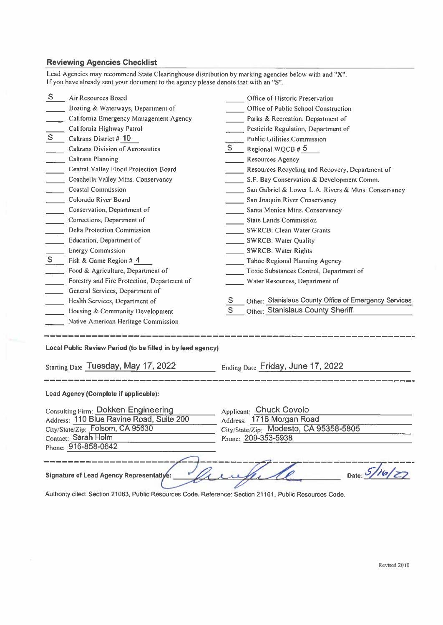## Reviewing Agencies Checklist

|                                     | <b>Reviewing Agencies Checklist</b>                                                                  |                                                            |                |  |  |
|-------------------------------------|------------------------------------------------------------------------------------------------------|------------------------------------------------------------|----------------|--|--|
|                                     | Lead Agencies may recommend State Clearinghouse distribution by marking agencies below with and "X". |                                                            |                |  |  |
|                                     | If you have already sent your document to the agency please denote that with an "S".                 |                                                            |                |  |  |
| S.                                  | Air Resources Board                                                                                  | Office of Historic Preservation                            |                |  |  |
|                                     | Boating & Waterways, Department of                                                                   | Office of Public School Construction                       |                |  |  |
|                                     | California Emergency Management Agency                                                               | Parks & Recreation, Department of                          |                |  |  |
|                                     | California Highway Patrol                                                                            | Pesticide Regulation, Department of                        |                |  |  |
| $S_{-}$                             | Caltrans District # 10                                                                               | <b>Public Utilities Commission</b>                         |                |  |  |
|                                     | <b>Caltrans Division of Aeronautics</b>                                                              | $S -$<br>Regional WQCB # 5                                 |                |  |  |
|                                     | <b>Caltrans Planning</b>                                                                             | <b>Resources Agency</b>                                    |                |  |  |
|                                     | Central Valley Flood Protection Board                                                                | Resources Recycling and Recovery, Department of            |                |  |  |
|                                     | Coachella Valley Mtns. Conservancy                                                                   | S.F. Bay Conservation & Development Comm.                  |                |  |  |
|                                     | <b>Coastal Commission</b>                                                                            | San Gabriel & Lower L.A. Rivers & Mtns. Conservancy        |                |  |  |
|                                     | Colorado River Board                                                                                 | San Joaquin River Conservancy                              |                |  |  |
|                                     | Conservation, Department of                                                                          | Santa Monica Mtns. Conservancy                             |                |  |  |
|                                     | Corrections, Department of                                                                           | <b>State Lands Commission</b>                              |                |  |  |
|                                     | <b>Delta Protection Commission</b>                                                                   | SWRCB: Clean Water Grants                                  |                |  |  |
|                                     | Education, Department of                                                                             | SWRCB: Water Quality                                       |                |  |  |
|                                     | <b>Energy Commission</b>                                                                             | <b>SWRCB: Water Rights</b>                                 |                |  |  |
| S                                   | Fish & Game Region # 4                                                                               | Tahoe Regional Planning Agency                             |                |  |  |
|                                     | Food & Agriculture, Department of                                                                    | Toxic Substances Control, Department of                    |                |  |  |
|                                     | Forestry and Fire Protection, Department of                                                          | Water Resources, Department of                             |                |  |  |
|                                     | General Services, Department of                                                                      |                                                            |                |  |  |
|                                     | Health Services, Department of                                                                       | Other: Stanislaus County Office of Emergency Services<br>S |                |  |  |
|                                     | Housing & Community Development                                                                      | S.<br>Other: Stanislaus County Sheriff                     |                |  |  |
|                                     | Native American Heritage Commission                                                                  |                                                            |                |  |  |
|                                     | Local Public Review Period (to be filled in by lead agency)                                          |                                                            |                |  |  |
|                                     |                                                                                                      |                                                            |                |  |  |
| Starting Date Tuesday, May 17, 2022 |                                                                                                      | Ending Date Friday, June 17, 2022                          |                |  |  |
|                                     | Lead Agency (Complete if applicable):                                                                |                                                            |                |  |  |
|                                     | <b>Consulting Firm: Dokken Engineering</b>                                                           | Applicant: Chuck Covolo                                    |                |  |  |
|                                     | Address: 110 Blue Ravine Road, Suite 200                                                             | Address: 1716 Morgan Road                                  |                |  |  |
|                                     | City/State/Zip: Folsom, CA 95630                                                                     | City/State/Zip: Modesto, CA 95358-5805                     |                |  |  |
|                                     | Contact: Sarah Holm                                                                                  | Phone: 209-353-5938                                        |                |  |  |
|                                     | Phone: 916-858-0642                                                                                  |                                                            |                |  |  |
|                                     |                                                                                                      |                                                            |                |  |  |
|                                     | Signature of Lead Agency Representative:                                                             |                                                            | Date: $5/16/5$ |  |  |

Authority cited: Section 21083, Public Resources Code. Reference: Section 21161, Public Resources Code.

╱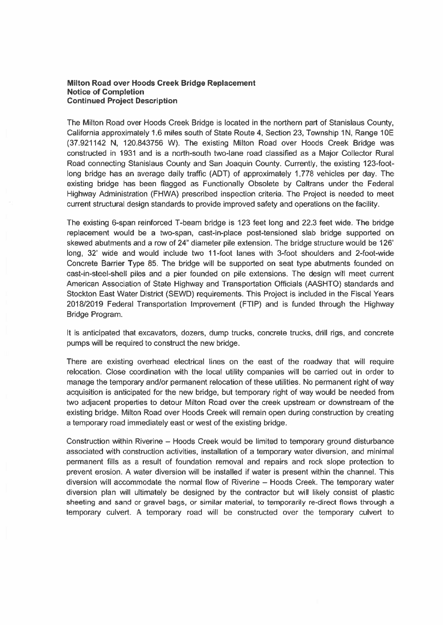## Milton Road over Hoods Creek Bridge Replacement Notice of Completion Continued Project Description

The Milton Road over Hoods Creek Bridge is located in the northern par<sup>t</sup> of Stanislaus County, California approximately 1.6 miles south of State Route 4, Section 23, Township 1N, Range 10E (37.921142 N, 120.843756 W). The existing Milton Road over Hoods Creek Bridge was constructed in 1931 and is <sup>a</sup> north-south two-lane road classified as <sup>a</sup> Major Collector Rural Road connecting Stanislaus County and San Joaquin County. Currently, the existing 123-footlong bridge has an average daily traffic (ADT) of approximately 1,778 vehicles per day. The existing bridge has been flagged as Functionally Obsolete by Caltrans under the Federal Highway Administration (FHWA) prescribed inspection criteria. The Project is needed to meet current structural design standards to provide improved safety and operations on the facility.

The existing 6-span reinforced T-beam bridge is 123 feet long and 22.3 feet wide. The bridge replacement would be <sup>a</sup> two-span, cast-in-place post-tensioned slab bridge supported on skewed abutments and <sup>a</sup> row of 24" diameter pile extension. The bridge structure would be 126' long, 32' wide and would include two 11-foot lanes with 3-foot shoulders and 2-foot-wide Concrete Barrier Type 85. The bridge will be supported on seat type abutments founded on cast-in-steel-shell piles and <sup>a</sup> pier founded on pile extensions. The design will meet current American Association of State Highway and Transportation Officials (AASHTO) standards and Stockton East Water District (SEWD) requirements. This Project is included in the Fiscal Years 2018/2019 Federal Transportation Improvement (FTIP) and is funded through the Highway Bridge Program.

It is anticipated that excavators, dozers, dump trucks, concrete trucks, drill rigs, and concrete pumps will be required to construct the new bridge.

There are existing overhead electrical lines on the east of the roadway that will require relocation. Close coordination with the local utility companies will be carried out in order to manage the temporary and/or permanen<sup>t</sup> relocation of these utilities. No permanen<sup>t</sup> right of way acquisition is anticipated for the new bridge, but temporary right of way would be needed from two adjacent properties to detour Milton Road over the creek upstream or downstream of the existing bridge. Milton Road over Hoods Creek will remain open during construction by creating <sup>a</sup> temporary road immediately east or west of the existing bridge.

Construction within Riverine — Hoods Creek would be limited to temporary ground disturbance associated with construction activities, installation of <sup>a</sup> temporary water diversion, and minimal permanen<sup>t</sup> fills as <sup>a</sup> result of foundation removal and repairs and rock slope protection to preven<sup>t</sup> erosion. A water diversion will be installed if water is presen<sup>t</sup> within the channel. This diversion will accommodate the normal flow of Riverine — Hoods Creek. The temporary water diversion plan will ultimately be designed by the contractor but will likely consist of plastic sheeting and sand or gravel bags, or similar material, to temporarily re-direct flows through a temporary culvert. A temporary road will be constructed over the temporary culvert to